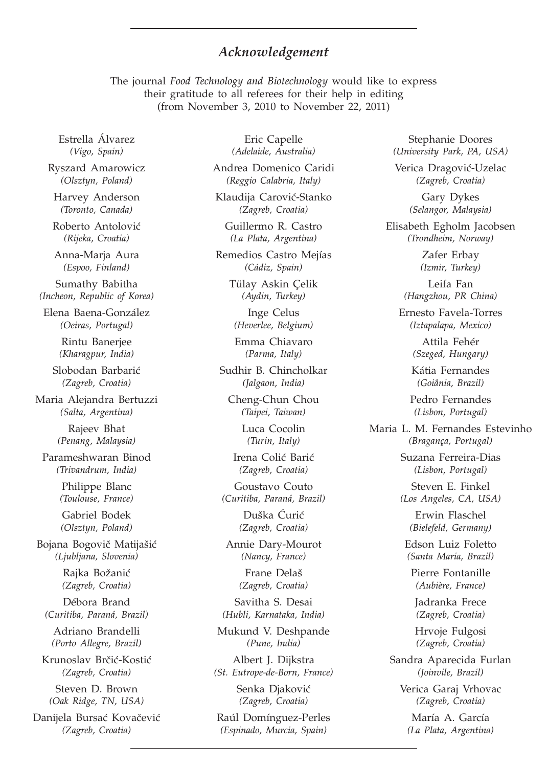## *Acknowledgement*

The journal *Food Technology and Biotechnology* would like to express their gratitude to all referees for their help in editing (from November 3, 2010 to November 22, 2011)

Estrella Álvarez *(Vigo, Spain)*

Ryszard Amarowicz *(Olsztyn, Poland)*

Harvey Anderson *(Toronto, Canada)*

Roberto Antolović *(Rijeka, Croatia)*

Anna-Marja Aura *(Espoo, Finland)*

Sumathy Babitha *(Incheon, Republic of Korea)*

Elena Baena-González *(Oeiras, Portugal)*

> Rintu Banerjee *(Kharagpur, India)*

Slobodan Barbarić *(Zagreb, Croatia)*

Maria Alejandra Bertuzzi *(Salta, Argentina)*

> Rajeev Bhat *(Penang, Malaysia)*

Parameshwaran Binod *(Trivandrum, India)*

> Philippe Blanc *(Toulouse, France)*

Gabriel Bodek *(Olsztyn, Poland)*

Bojana Bogovič Matijašić *(Ljubljana, Slovenia)*

> Rajka Božanić *(Zagreb, Croatia)*

Débora Brand *(Curitiba, Paraná, Brazil)*

Adriano Brandelli *(Porto Allegre, Brazil)*

Krunoslav Brčić-Kostić *(Zagreb, Croatia)*

Steven D. Brown *(Oak Ridge, TN, USA)*

Danijela Bursać Kovačević *(Zagreb, Croatia)*

Eric Capelle *(Adelaide, Australia)*

Andrea Domenico Caridi *(Reggio Calabria, Italy)*

Klaudija Carović-Stanko *(Zagreb, Croatia)*

Guillermo R. Castro *(La Plata, Argentina)*

Remedios Castro Mejías *(Cádiz, Spain)*

> Tülay Askin Çelik *(Aydin, Turkey)*

Inge Celus *(Heverlee, Belgium)*

Emma Chiavaro *(Parma, Italy)*

Sudhir B. Chincholkar *(Jalgaon, India)*

Cheng-Chun Chou *(Taipei, Taiwan)*

> Luca Cocolin *(Turin, Italy)*

Irena Colić Barić *(Zagreb, Croatia)*

Goustavo Couto *(Curitiba, Paraná, Brazil)*

> Duška Ćurić *(Zagreb, Croatia)*

Annie Dary-Mourot *(Nancy, France)*

> Frane Delaš *(Zagreb, Croatia)*

Savitha S. Desai *(Hubli, Karnataka, India)*

Mukund V. Deshpande *(Pune, India)*

Albert J. Dijkstra *(St. Eutrope-de-Born, France)*

> Senka Djaković *(Zagreb, Croatia)*

Raúl Domínguez-Perles *(Espinado, Murcia, Spain)*

Stephanie Doores *(University Park, PA, USA)*

Verica Dragović-Uzelac *(Zagreb, Croatia)*

> Gary Dykes *(Selangor, Malaysia)*

Elisabeth Egholm Jacobsen *(Trondheim, Norway)*

> Zafer Erbay *(Izmir, Turkey)*

Leifa Fan *(Hangzhou, PR China)*

Ernesto Favela-Torres *(Iztapalapa, Mexico)*

> Attila Fehér *(Szeged, Hungary)*

Kátia Fernandes *(Goiânia, Brazil)*

Pedro Fernandes *(Lisbon, Portugal)*

Maria L. M. Fernandes Estevinho *(Bragança, Portugal)*

> Suzana Ferreira-Dias *(Lisbon, Portugal)*

> Steven E. Finkel *(Los Angeles, CA, USA)*

Erwin Flaschel *(Bielefeld, Germany)*

Edson Luiz Foletto *(Santa Maria, Brazil)*

Pierre Fontanille *(Aubière, France)*

Jadranka Frece *(Zagreb, Croatia)*

Hrvoje Fulgosi *(Zagreb, Croatia)*

Sandra Aparecida Furlan *(Joinvile, Brazil)*

Verica Garaj Vrhovac *(Zagreb, Croatia)*

María A. García *(La Plata, Argentina)*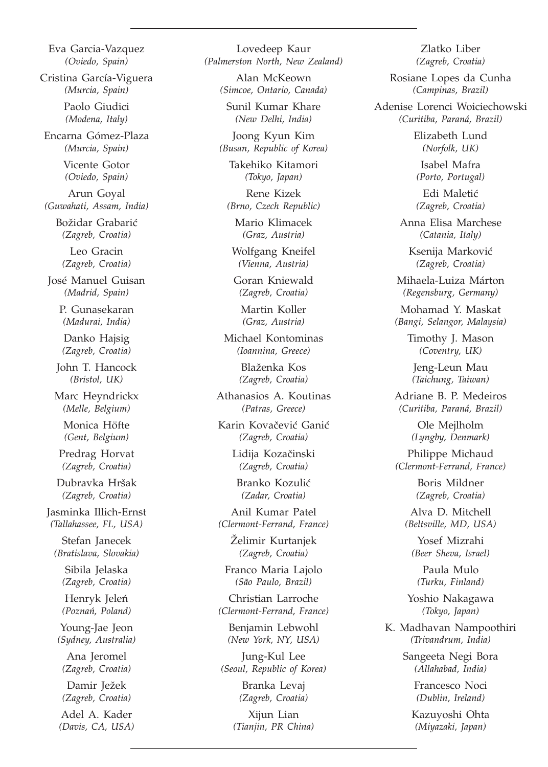Eva Garcia-Vazquez *(Oviedo, Spain)* Cristina García-Viguera *(Murcia, Spain)* Paolo Giudici *(Modena, Italy)* Encarna Gómez-Plaza *(Murcia, Spain)* Vicente Gotor *(Oviedo, Spain)* Arun Goyal *(Guwahati, Assam, India)* Božidar Grabarić *(Zagreb, Croatia)* Leo Gracin *(Zagreb, Croatia)* José Manuel Guisan *(Madrid, Spain)* P. Gunasekaran *(Madurai, India)* Danko Hajsig *(Zagreb, Croatia)* John T. Hancock *(Bristol, UK)* Marc Heyndrickx *(Melle, Belgium)* Monica Höfte *(Gent, Belgium)* Predrag Horvat *(Zagreb, Croatia)* Dubravka Hršak *(Zagreb, Croatia)* Jasminka Illich-Ernst *(Tallahassee, FL, USA)* Stefan Janecek *(Bratislava, Slovakia)* Sibila Jelaska *(Zagreb, Croatia)* Henryk Jeleń *(Poznan´, Poland)* Young-Jae Jeon *(Sydney, Australia)* Ana Jeromel *(Zagreb, Croatia)* Damir Ježek *(Zagreb, Croatia)* Adel A. Kader *(Davis, CA, USA)*

Lovedeep Kaur *(Palmerston North, New Zealand)*

> Alan McKeown *(Simcoe, Ontario, Canada)*

Sunil Kumar Khare *(New Delhi, India)*

Joong Kyun Kim *(Busan, Republic of Korea)*

> Takehiko Kitamori *(Tokyo, Japan)*

Rene Kizek *(Brno, Czech Republic)*

Mario Klimacek *(Graz, Austria)*

Wolfgang Kneifel *(Vienna, Austria)*

Goran Kniewald *(Zagreb, Croatia)*

Martin Koller *(Graz, Austria)*

Michael Kontominas *(Ioannina, Greece)*

> Blaženka Kos *(Zagreb, Croatia)*

Athanasios A. Koutinas *(Patras, Greece)*

Karin Kovačević Ganić *(Zagreb, Croatia)*

> Lidija Kozačinski *(Zagreb, Croatia)*

Branko Kozulić *(Zadar, Croatia)*

Anil Kumar Patel *(Clermont-Ferrand, France)*

> Zelimir Kurtanjek *(Zagreb, Croatia)*

Franco Maria Lajolo *(São Paulo, Brazil)*

Christian Larroche *(Clermont-Ferrand, France)*

Benjamin Lebwohl *(New York, NY, USA)*

Jung-Kul Lee *(Seoul, Republic of Korea)*

> Branka Levaj *(Zagreb, Croatia)*

Xijun Lian *(Tianjin, PR China)*

Zlatko Liber *(Zagreb, Croatia)*

Rosiane Lopes da Cunha *(Campinas, Brazil)*

Adenise Lorenci Woiciechowski *(Curitiba, Paraná, Brazil)*

> Elizabeth Lund *(Norfolk, UK)*

Isabel Mafra *(Porto, Portugal)*

Edi Maletić *(Zagreb, Croatia)*

Anna Elisa Marchese *(Catania, Italy)*

Ksenija Marković *(Zagreb, Croatia)*

Mihaela-Luiza Márton *(Regensburg, Germany)*

Mohamad Y. Maskat *(Bangi, Selangor, Malaysia)*

> Timothy J. Mason *(Coventry, UK)*

Jeng-Leun Mau *(Taichung, Taiwan)*

Adriane B. P. Medeiros *(Curitiba, Paraná, Brazil)*

> Ole Mejlholm *(Lyngby, Denmark)*

Philippe Michaud *(Clermont-Ferrand, France)*

> Boris Mildner *(Zagreb, Croatia)*

Alva D. Mitchell *(Beltsville, MD, USA)*

Yosef Mizrahi *(Beer Sheva, Israel)*

Paula Mulo *(Turku, Finland)*

Yoshio Nakagawa *(Tokyo, Japan)*

K. Madhavan Nampoothiri *(Trivandrum, India)*

> Sangeeta Negi Bora *(Allahabad, India)*

> > Francesco Noci *(Dublin, Ireland)*

Kazuyoshi Ohta *(Miyazaki, Japan)*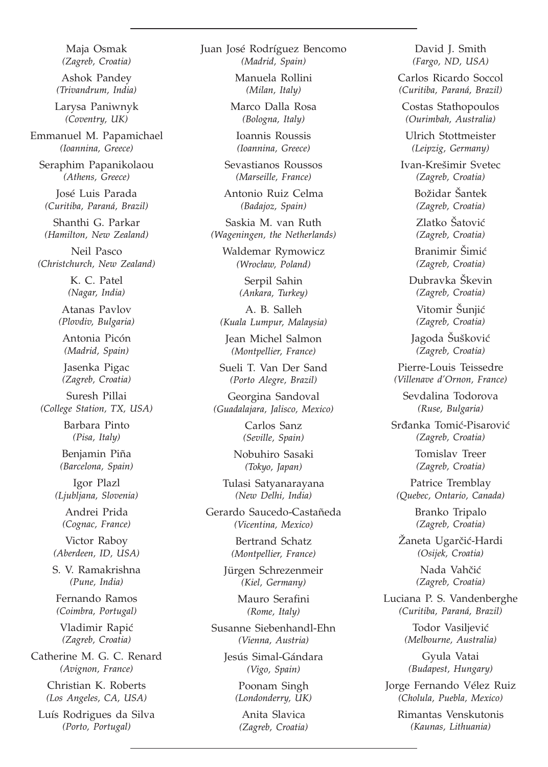Maja Osmak *(Zagreb, Croatia)*

Ashok Pandey *(Trivandrum, India)*

Larysa Paniwnyk *(Coventry, UK)*

Emmanuel M. Papamichael *(Ioannina, Greece)*

Seraphim Papanikolaou *(Athens, Greece)*

José Luis Parada *(Curitiba, Paraná, Brazil)*

Shanthi G. Parkar *(Hamilton, New Zealand)*

Neil Pasco *(Christchurch, New Zealand)*

> K. C. Patel *(Nagar, India)*

Atanas Pavlov *(Plovdiv, Bulgaria)*

Antonia Picón *(Madrid, Spain)*

Jasenka Pigac *(Zagreb, Croatia)*

Suresh Pillai *(College Station, TX, USA)*

> Barbara Pinto *(Pisa, Italy)*

Benjamin Piña *(Barcelona, Spain)*

Igor Plazl *(Ljubljana, Slovenia)*

Andrei Prida *(Cognac, France)*

Victor Raboy *(Aberdeen, ID, USA)*

S. V. Ramakrishna *(Pune, India)*

Fernando Ramos *(Coimbra, Portugal)*

Vladimir Rapić *(Zagreb, Croatia)*

Catherine M. G. C. Renard *(Avignon, France)*

> Christian K. Roberts *(Los Angeles, CA, USA)*

Luís Rodrigues da Silva *(Porto, Portugal)*

Juan José Rodríguez Bencomo *(Madrid, Spain)*

> Manuela Rollini *(Milan, Italy)*

Marco Dalla Rosa *(Bologna, Italy)*

Ioannis Roussis *(Ioannina, Greece)*

Sevastianos Roussos *(Marseille, France)*

Antonio Ruiz Celma *(Badajoz, Spain)*

Saskia M. van Ruth *(Wageningen, the Netherlands)*

Waldemar Rymowicz *(Wroc³aw, Poland)*

> Serpil Sahin *(Ankara, Turkey)*

A. B. Salleh *(Kuala Lumpur, Malaysia)*

Jean Michel Salmon *(Montpellier, France)*

Sueli T. Van Der Sand *(Porto Alegre, Brazil)*

Georgina Sandoval *(Guadalajara, Jalisco, Mexico)*

> Carlos Sanz *(Seville, Spain)*

Nobuhiro Sasaki *(Tokyo, Japan)*

Tulasi Satyanarayana *(New Delhi, India)*

Gerardo Saucedo-Castañeda *(Vicentina, Mexico)*

> Bertrand Schatz *(Montpellier, France)*

Jürgen Schrezenmeir *(Kiel, Germany)*

> Mauro Serafini *(Rome, Italy)*

Susanne Siebenhandl-Ehn *(Vienna, Austria)*

Jesús Simal-Gándara *(Vigo, Spain)*

> Poonam Singh *(Londonderry, UK)*

Anita Slavica *(Zagreb, Croatia)*

David J. Smith *(Fargo, ND, USA)*

Carlos Ricardo Soccol *(Curitiba, Paraná, Brazil)*

Costas Stathopoulos *(Ourimbah, Australia)*

Ulrich Stottmeister *(Leipzig, Germany)*

Ivan-Kre{imir Svetec *(Zagreb, Croatia)*

> Božidar Šantek *(Zagreb, Croatia)*

Zlatko Šatović *(Zagreb, Croatia)*

Branimir Šimić *(Zagreb, Croatia)*

Dubravka Škevin *(Zagreb, Croatia)* Vitomir Šunjić *(Zagreb, Croatia)*

Jagoda Šušković *(Zagreb, Croatia)*

Pierre-Louis Teissedre *(Villenave d'Ornon, France)*

Sevdalina Todorova *(Ruse, Bulgaria)*

Srđanka Tomić-Pisarović *(Zagreb, Croatia)*

> Tomislav Treer *(Zagreb, Croatia)*

Patrice Tremblay *(Quebec, Ontario, Canada)*

> Branko Tripalo *(Zagreb, Croatia)*

Žaneta Ugarčić-Hardi *(Osijek, Croatia)*

> Nada Vahčić *(Zagreb, Croatia)*

Luciana P. S. Vandenberghe *(Curitiba, Paraná, Brazil)*

> Todor Vasiliević *(Melbourne, Australia)*

Gyula Vatai *(Budapest, Hungary)*

Jorge Fernando Vélez Ruiz *(Cholula, Puebla, Mexico)*

Rimantas Venskutonis *(Kaunas, Lithuania)*